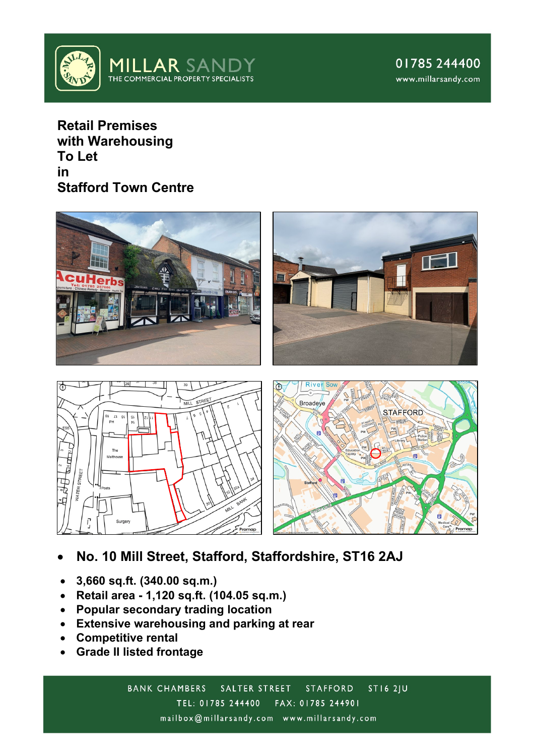

**Retail Premises with Warehousing To Let in Stafford Town Centre**





- **No. 10 Mill Street, Stafford, Staffordshire, ST16 2AJ**
- **3,660 sq.ft. (340.00 sq.m.)**
- **Retail area - 1,120 sq.ft. (104.05 sq.m.)**
- **Popular secondary trading location**
- **Extensive warehousing and parking at rear**
- **Competitive rental**
- **Grade II listed frontage**

**BANK CHAMBERS ST16 2JU** SALTER STREET **STAFFORD** TEL: 01785 244400 FAX: 01785 244901 mailbox@millarsandy.com www.millarsandy.com